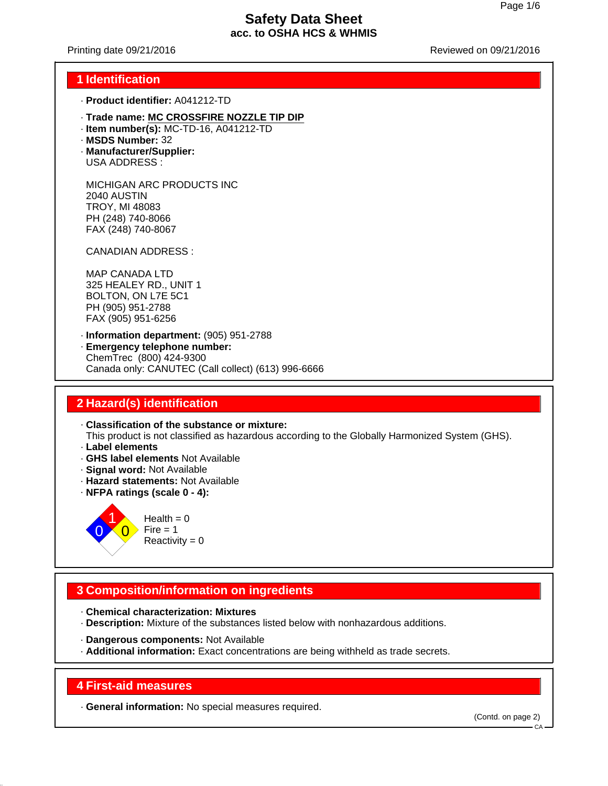Printing date 09/21/2016 Reviewed on 09/21/2016

### **1 Identification**

- · **Product identifier:** A041212-TD
- · **Trade name: MC CROSSFIRE NOZZLE TIP DIP**
- · **Item number(s):** MC-TD-16, A041212-TD
- · **MSDS Number:** 32
- · **Manufacturer/Supplier:** USA ADDRESS :

MICHIGAN ARC PRODUCTS INC 2040 AUSTIN TROY, MI 48083 PH (248) 740-8066 FAX (248) 740-8067

CANADIAN ADDRESS :

MAP CANADA LTD 325 HEALEY RD., UNIT 1 BOLTON, ON L7E 5C1 PH (905) 951-2788 FAX (905) 951-6256

· **Information department:** (905) 951-2788 · **Emergency telephone number:** ChemTrec (800) 424-9300 Canada only: CANUTEC (Call collect) (613) 996-6666

# **2 Hazard(s) identification**

· **Classification of the substance or mixture:** This product is not classified as hazardous according to the Globally Harmonized System (GHS).

- · **Label elements**
- · **GHS label elements** Not Available
- · **Signal word:** Not Available
- · **Hazard statements:** Not Available
- · **NFPA ratings (scale 0 4):**



# **3 Composition/information on ingredients**

- · **Chemical characterization: Mixtures**
- · **Description:** Mixture of the substances listed below with nonhazardous additions.
- · **Dangerous components:** Not Available
- · **Additional information:** Exact concentrations are being withheld as trade secrets.

#### **4 First-aid measures**

· **General information:** No special measures required.

(Contd. on page 2)

 $CA$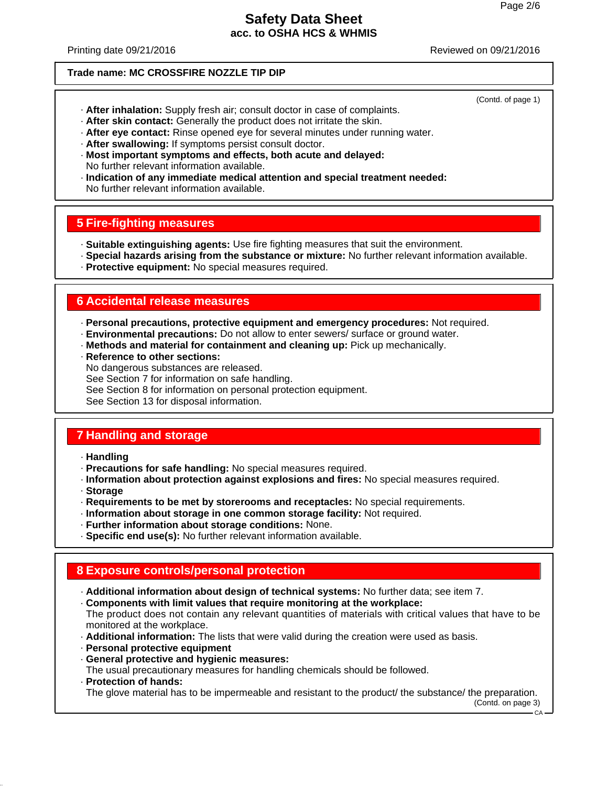(Contd. of page 1)

# **Safety Data Sheet acc. to OSHA HCS & WHMIS**

Printing date 09/21/2016 Reviewed on 09/21/2016

#### **Trade name: MC CROSSFIRE NOZZLE TIP DIP**

- · **After inhalation:** Supply fresh air; consult doctor in case of complaints.
- · **After skin contact:** Generally the product does not irritate the skin.
- · **After eye contact:** Rinse opened eye for several minutes under running water.
- · **After swallowing:** If symptoms persist consult doctor.
- · **Most important symptoms and effects, both acute and delayed:** No further relevant information available.
- · **Indication of any immediate medical attention and special treatment needed:** No further relevant information available.

# **5 Fire-fighting measures**

- · **Suitable extinguishing agents:** Use fire fighting measures that suit the environment.
- · **Special hazards arising from the substance or mixture:** No further relevant information available.
- · **Protective equipment:** No special measures required.

#### **6 Accidental release measures**

- · **Personal precautions, protective equipment and emergency procedures:** Not required.
- · **Environmental precautions:** Do not allow to enter sewers/ surface or ground water.
- · **Methods and material for containment and cleaning up:** Pick up mechanically.
- · **Reference to other sections:**
- No dangerous substances are released.
- See Section 7 for information on safe handling.
- See Section 8 for information on personal protection equipment.

See Section 13 for disposal information.

# **7 Handling and storage**

- · **Handling**
- · **Precautions for safe handling:** No special measures required.
- · **Information about protection against explosions and fires:** No special measures required.
- · **Storage**
- · **Requirements to be met by storerooms and receptacles:** No special requirements.
- · **Information about storage in one common storage facility:** Not required.
- · **Further information about storage conditions:** None.
- · **Specific end use(s):** No further relevant information available.

### **8 Exposure controls/personal protection**

- · **Additional information about design of technical systems:** No further data; see item 7.
- · **Components with limit values that require monitoring at the workplace:**

The product does not contain any relevant quantities of materials with critical values that have to be monitored at the workplace.

- · **Additional information:** The lists that were valid during the creation were used as basis.
- · **Personal protective equipment**
- · **General protective and hygienic measures:** The usual precautionary measures for handling chemicals should be followed.

#### · **Protection of hands:**

The glove material has to be impermeable and resistant to the product/ the substance/ the preparation.

(Contd. on page 3)

 $CA -$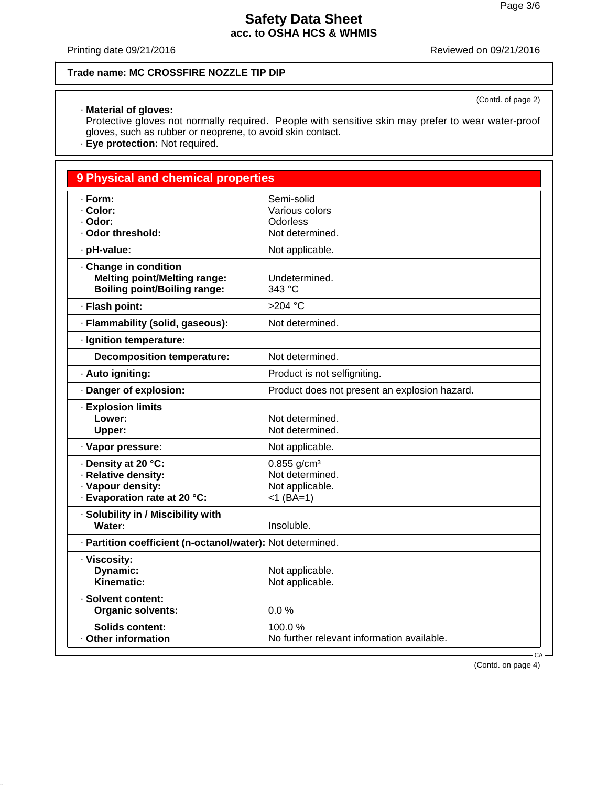(Contd. of page 2)

# **Safety Data Sheet acc. to OSHA HCS & WHMIS**

Printing date 09/21/2016 Reviewed on 09/21/2016

#### **Trade name: MC CROSSFIRE NOZZLE TIP DIP**

#### · **Material of gloves:**

Protective gloves not normally required. People with sensitive skin may prefer to wear water-proof gloves, such as rubber or neoprene, to avoid skin contact.

· **Eye protection:** Not required.

# **9 Physical and chemical properties** · **Form:** Semi-solid · **Color:** Various colors · **Odor:** Odorless · Odor threshold: Not determined. · **pH-value:** Not applicable. · **Change in condition Melting point/Melting range:** Undetermined.<br> **Boiling point/Boiling range:** 343 °C **Boiling point/Boiling range:** · **Flash point:** >204 °C · **Flammability (solid, gaseous):** Not determined. · **Ignition temperature: Decomposition temperature:** Not determined. · **Auto igniting: Auto igniting.** Product is not selfigniting. · **Danger of explosion:** Product does not present an explosion hazard. · **Explosion limits Lower:** Not determined. **Upper:** Not determined. · Vapor pressure: Not applicable. **Example:** Density at 20 °C:<br> **Relative density:** CREE Relative density: Not determined. · Relative density: · Vapour density: Not applicable. · **Evaporation rate at 20 °C:** <1 (BA=1) · **Solubility in / Miscibility with** Water: **Insoluble.** · **Partition coefficient (n-octanol/water):** Not determined. · **Viscosity: Dynamic:** Not applicable.

Kinematic: Not applicable. · **Solvent content: Organic solvents:** 0.0 % **Solids content:** 100.0 % · **Other information** No further relevant information available.

(Contd. on page 4)

CA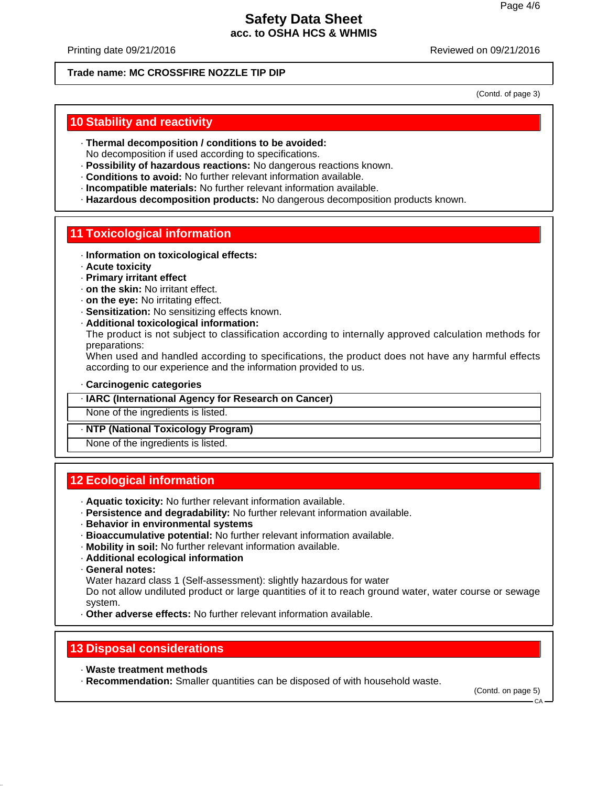Printing date 09/21/2016 Reviewed on 09/21/2016

#### **Trade name: MC CROSSFIRE NOZZLE TIP DIP**

(Contd. of page 3)

### **10 Stability and reactivity**

- · **Thermal decomposition / conditions to be avoided:**
- No decomposition if used according to specifications.
- · **Possibility of hazardous reactions:** No dangerous reactions known.
- · **Conditions to avoid:** No further relevant information available.
- · **Incompatible materials:** No further relevant information available.
- · **Hazardous decomposition products:** No dangerous decomposition products known.

### **11 Toxicological information**

- · **Information on toxicological effects:**
- · **Acute toxicity**
- · **Primary irritant effect**
- · **on the skin:** No irritant effect.
- · **on the eye:** No irritating effect.
- · **Sensitization:** No sensitizing effects known.
- · **Additional toxicological information:**

The product is not subject to classification according to internally approved calculation methods for preparations:

When used and handled according to specifications, the product does not have any harmful effects according to our experience and the information provided to us.

#### · **Carcinogenic categories**

#### · **IARC (International Agency for Research on Cancer)**

None of the ingredients is listed.

#### · **NTP (National Toxicology Program)**

None of the ingredients is listed.

### **12 Ecological information**

- · **Aquatic toxicity:** No further relevant information available.
- · **Persistence and degradability:** No further relevant information available.
- · **Behavior in environmental systems**
- · **Bioaccumulative potential:** No further relevant information available.
- · **Mobility in soil:** No further relevant information available.
- · **Additional ecological information**
- · **General notes:**
- Water hazard class 1 (Self-assessment): slightly hazardous for water

Do not allow undiluted product or large quantities of it to reach ground water, water course or sewage system.

· **Other adverse effects:** No further relevant information available.

### **13 Disposal considerations**

- · **Waste treatment methods**
- · **Recommendation:** Smaller quantities can be disposed of with household waste.

(Contd. on page 5)

 $CA$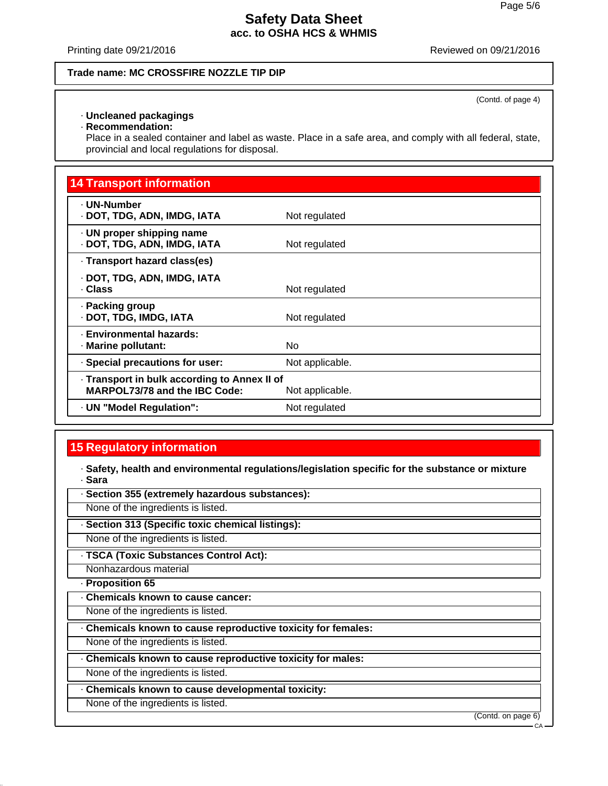Printing date 09/21/2016 Reviewed on 09/21/2016

#### **Trade name: MC CROSSFIRE NOZZLE TIP DIP**

(Contd. of page 4)

### · **Uncleaned packagings**

· **Recommendation:**

Place in a sealed container and label as waste. Place in a safe area, and comply with all federal, state, provincial and local regulations for disposal.

# **14 Transport information**

| Not regulated   |
|-----------------|
| Not regulated   |
|                 |
| Not regulated   |
| Not regulated   |
| <b>No</b>       |
| Not applicable. |
| Not applicable. |
| Not regulated   |
|                 |

# **15 Regulatory information**

· **Safety, health and environmental regulations/legislation specific for the substance or mixture** · **Sara**

· **Section 355 (extremely hazardous substances):**

None of the ingredients is listed.

· **Section 313 (Specific toxic chemical listings):**

None of the ingredients is listed.

· **TSCA (Toxic Substances Control Act):**

Nonhazardous material

· **Proposition 65**

· **Chemicals known to cause cancer:**

None of the ingredients is listed.

· **Chemicals known to cause reproductive toxicity for females:**

None of the ingredients is listed.

· **Chemicals known to cause reproductive toxicity for males:**

None of the ingredients is listed.

· **Chemicals known to cause developmental toxicity:**

None of the ingredients is listed.

(Contd. on page 6)

CA